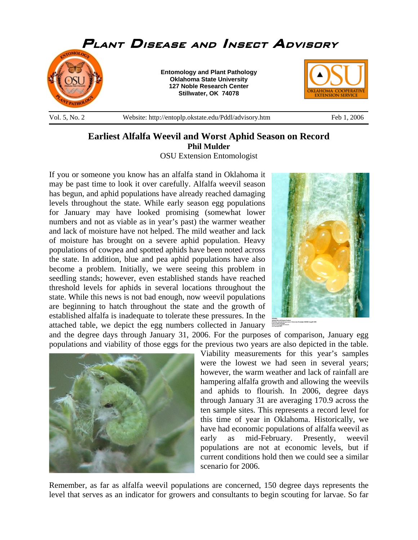

## **Earliest Alfalfa Weevil and Worst Aphid Season on Record Phil Mulder**

OSU Extension Entomologist

If you or someone you know has an alfalfa stand in Oklahoma it may be past time to look it over carefully. Alfalfa weevil season has begun, and aphid populations have already reached damaging levels throughout the state. While early season egg populations for January may have looked promising (somewhat lower numbers and not as viable as in year's past) the warmer weather and lack of moisture have not helped. The mild weather and lack of moisture has brought on a severe aphid population. Heavy populations of cowpea and spotted aphids have been noted across the state. In addition, blue and pea aphid populations have also become a problem. Initially, we were seeing this problem in seedling stands; however, even established stands have reached threshold levels for aphids in several locations throughout the state. While this news is not bad enough, now weevil populations are beginning to hatch throughout the state and the growth of established alfalfa is inadequate to tolerate these pressures. In the attached table, we depict the egg numbers collected in January



and the degree days through January 31, 2006. For the purposes of comparison, January egg populations and viability of those eggs for the previous two years are also depicted in the table.

> Viability measurements for this year's samples were the lowest we had seen in several years; however, the warm weather and lack of rainfall are hampering alfalfa growth and allowing the weevils and aphids to flourish. In 2006, degree days through January 31 are averaging 170.9 across the ten sample sites. This represents a record level for this time of year in Oklahoma. Historically, we have had economic populations of alfalfa weevil as early as mid-February. Presently, weevil populations are not at economic levels, but if current conditions hold then we could see a similar scenario for 2006.

Remember, as far as alfalfa weevil populations are concerned, 150 degree days represents the level that serves as an indicator for growers and consultants to begin scouting for larvae. So far